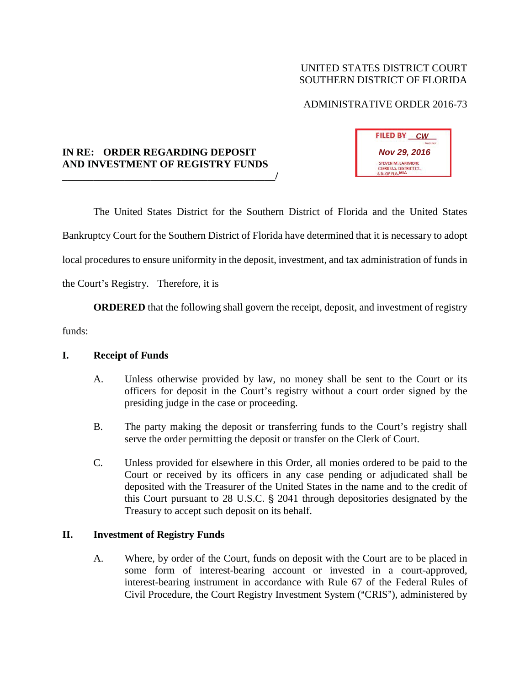# UNITED STATES DISTRICT COURT SOUTHERN DISTRICT OF FLORIDA

# ADMINISTRATIVE ORDER 2016-73

## **IN RE: ORDER REGARDING DEPOSIT AND INVESTMENT OF REGISTRY FUNDS \_\_\_\_\_\_\_\_\_\_\_\_\_\_\_\_\_\_\_\_\_\_\_\_\_\_\_\_\_\_\_\_\_\_\_\_\_\_\_\_\_/**



The United States District for the Southern District of Florida and the United States Bankruptcy Court for the Southern District of Florida have determined that it is necessary to adopt local procedures to ensure uniformity in the deposit, investment, and tax administration of funds in the Court's Registry. Therefore, it is

**ORDERED** that the following shall govern the receipt, deposit, and investment of registry

funds:

#### **I. Receipt of Funds**

- A. Unless otherwise provided by law, no money shall be sent to the Court or its officers for deposit in the Court's registry without a court order signed by the presiding judge in the case or proceeding.
- B. The party making the deposit or transferring funds to the Court's registry shall serve the order permitting the deposit or transfer on the Clerk of Court.
- C. Unless provided for elsewhere in this Order, all monies ordered to be paid to the Court or received by its officers in any case pending or adjudicated shall be deposited with the Treasurer of the United States in the name and to the credit of this Court pursuant to  $28$  U.S.C.  $\S$   $2041$  through depositories designated by the Treasury to accept such deposit on its behalf.

#### **II. Investment of Registry Funds**

A. Where, by order of the Court, funds on deposit with the Court are to be placed in some form of interest-bearing account or invested in a court-approved, interest-bearing instrument in accordance with Rule 67 of the Federal Rules of Civil Procedure, the Court Registry Investment System ("CRIS"), administered by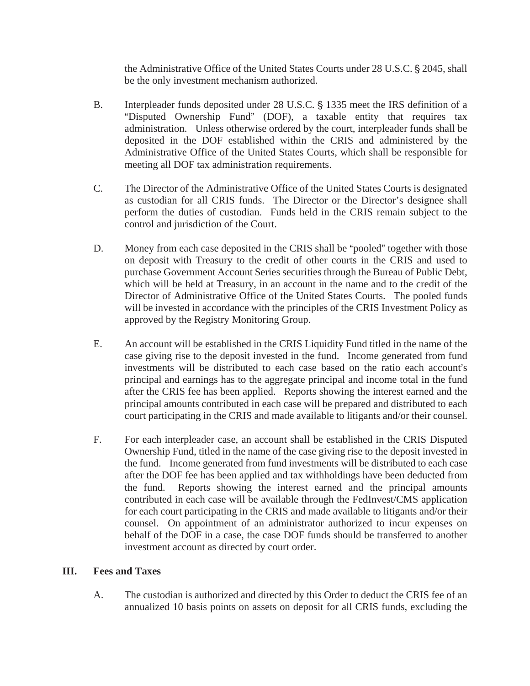the Administrative Office of the United States Courts under 28 U.S.C. § 2045, shall be the only investment mechanism authorized.

- B. Interpleader funds deposited under 28 U.S.C. § 1335 meet the IRS definition of a "Disputed Ownership Fund" (DOF), a taxable entity that requires tax administration. Unless otherwise ordered by the court, interpleader funds shall be deposited in the DOF established within the CRIS and administered by the Administrative Office of the United States Courts, which shall be responsible for meeting all DOF tax administration requirements.
- C. The Director of the Administrative Office of the United States Courts is designated as custodian for all CRIS funds. The Director or the Director's designee shall perform the duties of custodian. Funds held in the CRIS remain subject to the control and jurisdiction of the Court.
- D. Money from each case deposited in the CRIS shall be "pooled" together with those on deposit with Treasury to the credit of other courts in the CRIS and used to purchase Government Account Series securities through the Bureau of Public Debt, which will be held at Treasury, in an account in the name and to the credit of the Director of Administrative Office of the United States Courts. The pooled funds will be invested in accordance with the principles of the CRIS Investment Policy as approved by the Registry Monitoring Group.
- E. An account will be established in the CRIS Liquidity Fund titled in the name of the case giving rise to the deposit invested in the fund. Income generated from fund investments will be distributed to each case based on the ratio each account's principal and earnings has to the aggregate principal and income total in the fund after the CRIS fee has been applied. Reports showing the interest earned and the principal amounts contributed in each case will be prepared and distributed to each court participating in the CRIS and made available to litigants and/or their counsel.
- F. For each interpleader case, an account shall be established in the CRIS Disputed Ownership Fund, titled in the name of the case giving rise to the deposit invested in the fund. Income generated from fund investments will be distributed to each case after the DOF fee has been applied and tax withholdings have been deducted from the fund. Reports showing the interest earned and the principal amounts contributed in each case will be available through the FedInvest/CMS application for each court participating in the CRIS and made available to litigants and/or their counsel. On appointment of an administrator authorized to incur expenses on behalf of the DOF in a case, the case DOF funds should be transferred to another investment account as directed by court order.

#### **III. Fees and Taxes**

A. The custodian is authorized and directed by this Order to deduct the CRIS fee of an annualized 10 basis points on assets on deposit for all CRIS funds, excluding the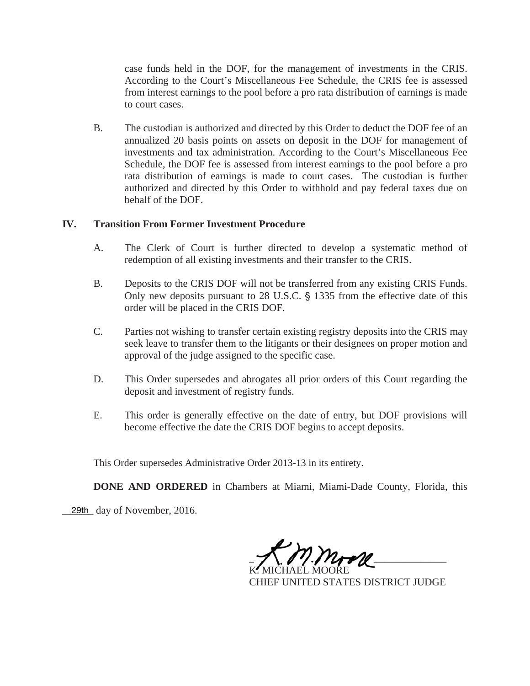case funds held in the DOF, for the management of investments in the CRIS. According to the Court's Miscellaneous Fee Schedule, the CRIS fee is assessed from interest earnings to the pool before a pro rata distribution of earnings is made to court cases.

B. The custodian is authorized and directed by this Order to deduct the DOF fee of an annualized 20 basis points on assets on deposit in the DOF for management of investments and tax administration. According to the Court's Miscellaneous Fee Schedule, the DOF fee is assessed from interest earnings to the pool before a pro rata distribution of earnings is made to court cases. The custodian is further authorized and directed by this Order to withhold and pay federal taxes due on behalf of the DOF.

### **IV. Transition From Former Investment Procedure**

- A. The Clerk of Court is further directed to develop a systematic method of redemption of all existing investments and their transfer to the CRIS.
- B. Deposits to the CRIS DOF will not be transferred from any existing CRIS Funds. Only new deposits pursuant to 28 U.S.C.  $\S$  1335 from the effective date of this order will be placed in the CRIS DOF.
- C. Parties not wishing to transfer certain existing registry deposits into the CRIS may seek leave to transfer them to the litigants or their designees on proper motion and approval of the judge assigned to the specific case.
- D. This Order supersedes and abrogates all prior orders of this Court regarding the deposit and investment of registry funds.
- E. This order is generally effective on the date of entry, but DOF provisions will become effective the date the CRIS DOF begins to accept deposits.

This Order supersedes Administrative Order 2013-13 in its entirety.

**DONE AND ORDERED** in Chambers at Miami, Miami-Dade County, Florida, this

29th day of November, 2016.

 $\mathcal{Z} \setminus \mathcal{U} \cup \mathcal{U}$ K. MICHAEL MOORE  $-7$   $/$   $/$   $/$   $/$   $/$   $/$   $/$   $/$   $/$ K. MICHAEL MOORE

CHIEF UNITED STATES DISTRICT JUDGE